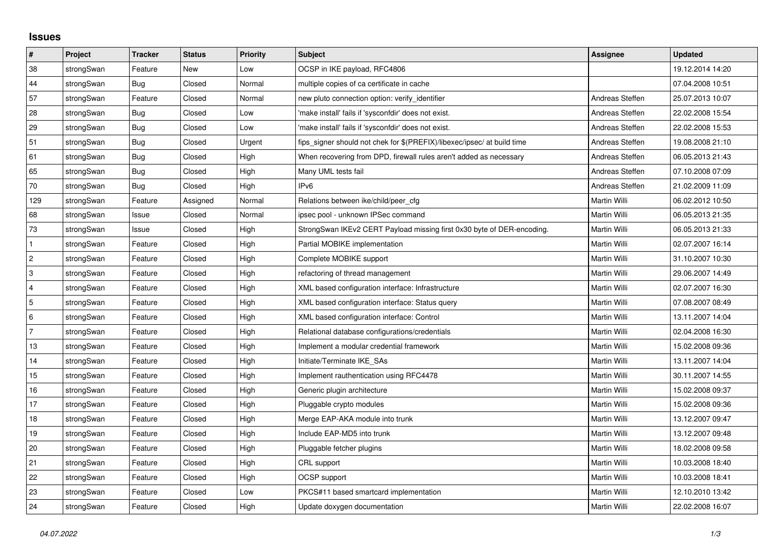## **Issues**

| $\vert$ #      | Project    | <b>Tracker</b> | <b>Status</b> | <b>Priority</b> | <b>Subject</b>                                                          | <b>Assignee</b> | <b>Updated</b>   |
|----------------|------------|----------------|---------------|-----------------|-------------------------------------------------------------------------|-----------------|------------------|
| 38             | strongSwan | Feature        | <b>New</b>    | Low             | OCSP in IKE payload, RFC4806                                            |                 | 19.12.2014 14:20 |
| 44             | strongSwan | Bug            | Closed        | Normal          | multiple copies of ca certificate in cache                              |                 | 07.04.2008 10:51 |
| 57             | strongSwan | Feature        | Closed        | Normal          | new pluto connection option: verify identifier                          | Andreas Steffen | 25.07.2013 10:07 |
| 28             | strongSwan | Bug            | Closed        | Low             | 'make install' fails if 'sysconfdir' does not exist.                    | Andreas Steffen | 22.02.2008 15:54 |
| 29             | strongSwan | Bug            | Closed        | Low             | 'make install' fails if 'sysconfdir' does not exist.                    | Andreas Steffen | 22.02.2008 15:53 |
| 51             | strongSwan | Bug            | Closed        | Urgent          | fips_signer should not chek for \$(PREFIX)/libexec/ipsec/ at build time | Andreas Steffen | 19.08.2008 21:10 |
| 61             | strongSwan | Bug            | Closed        | High            | When recovering from DPD, firewall rules aren't added as necessary      | Andreas Steffen | 06.05.2013 21:43 |
| 65             | strongSwan | Bug            | Closed        | High            | Many UML tests fail                                                     | Andreas Steffen | 07.10.2008 07:09 |
| 70             | strongSwan | Bug            | Closed        | High            | IP <sub>v6</sub>                                                        | Andreas Steffen | 21.02.2009 11:09 |
| 129            | strongSwan | Feature        | Assigned      | Normal          | Relations between ike/child/peer cfg                                    | Martin Willi    | 06.02.2012 10:50 |
| 68             | strongSwan | Issue          | Closed        | Normal          | ipsec pool - unknown IPSec command                                      | Martin Willi    | 06.05.2013 21:35 |
| 73             | strongSwan | Issue          | Closed        | High            | StrongSwan IKEv2 CERT Payload missing first 0x30 byte of DER-encoding.  | Martin Willi    | 06.05.2013 21:33 |
| $\mathbf{1}$   | strongSwan | Feature        | Closed        | High            | Partial MOBIKE implementation                                           | Martin Willi    | 02.07.2007 16:14 |
| $\overline{2}$ | strongSwan | Feature        | Closed        | High            | Complete MOBIKE support                                                 | Martin Willi    | 31.10.2007 10:30 |
| 3              | strongSwan | Feature        | Closed        | High            | refactoring of thread management                                        | Martin Willi    | 29.06.2007 14:49 |
| $\overline{4}$ | strongSwan | Feature        | Closed        | High            | XML based configuration interface: Infrastructure                       | Martin Willi    | 02.07.2007 16:30 |
| 5              | strongSwan | Feature        | Closed        | High            | XML based configuration interface: Status query                         | Martin Willi    | 07.08.2007 08:49 |
| 6              | strongSwan | Feature        | Closed        | High            | XML based configuration interface: Control                              | Martin Willi    | 13.11.2007 14:04 |
| $\overline{7}$ | strongSwan | Feature        | Closed        | High            | Relational database configurations/credentials                          | Martin Willi    | 02.04.2008 16:30 |
| 13             | strongSwan | Feature        | Closed        | High            | Implement a modular credential framework                                | Martin Willi    | 15.02.2008 09:36 |
| 14             | strongSwan | Feature        | Closed        | High            | Initiate/Terminate IKE_SAs                                              | Martin Willi    | 13.11.2007 14:04 |
| 15             | strongSwan | Feature        | Closed        | High            | Implement rauthentication using RFC4478                                 | Martin Willi    | 30.11.2007 14:55 |
| 16             | strongSwan | Feature        | Closed        | High            | Generic plugin architecture                                             | Martin Willi    | 15.02.2008 09:37 |
| 17             | strongSwan | Feature        | Closed        | High            | Pluggable crypto modules                                                | Martin Willi    | 15.02.2008 09:36 |
| 18             | strongSwan | Feature        | Closed        | High            | Merge EAP-AKA module into trunk                                         | Martin Willi    | 13.12.2007 09:47 |
| 19             | strongSwan | Feature        | Closed        | High            | Include EAP-MD5 into trunk                                              | Martin Willi    | 13.12.2007 09:48 |
| 20             | strongSwan | Feature        | Closed        | High            | Pluggable fetcher plugins                                               | Martin Willi    | 18.02.2008 09:58 |
| 21             | strongSwan | Feature        | Closed        | High            | CRL support                                                             | Martin Willi    | 10.03.2008 18:40 |
| 22             | strongSwan | Feature        | Closed        | High            | OCSP support                                                            | Martin Willi    | 10.03.2008 18:41 |
| 23             | strongSwan | Feature        | Closed        | Low             | PKCS#11 based smartcard implementation                                  | Martin Willi    | 12.10.2010 13:42 |
| 24             | strongSwan | Feature        | Closed        | High            | Update doxygen documentation                                            | Martin Willi    | 22.02.2008 16:07 |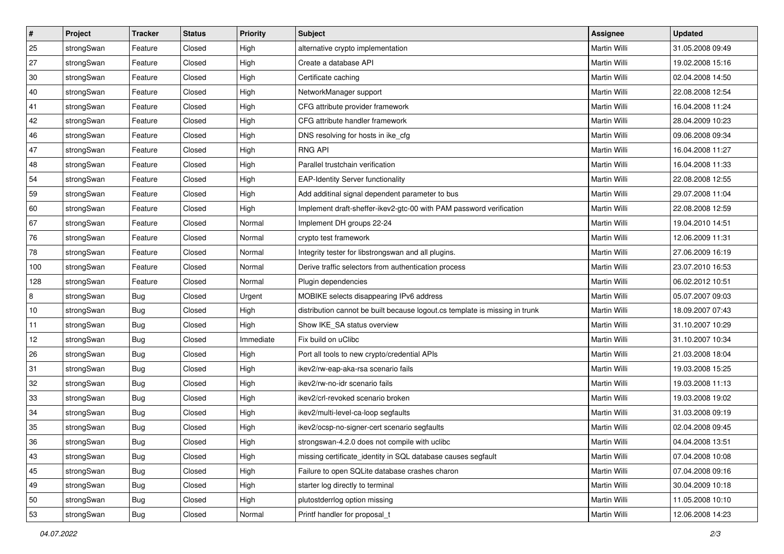| $\vert$ # | Project    | <b>Tracker</b> | <b>Status</b> | <b>Priority</b> | <b>Subject</b>                                                              | <b>Assignee</b>     | <b>Updated</b>   |
|-----------|------------|----------------|---------------|-----------------|-----------------------------------------------------------------------------|---------------------|------------------|
| 25        | strongSwan | Feature        | Closed        | High            | alternative crypto implementation                                           | Martin Willi        | 31.05.2008 09:49 |
| 27        | strongSwan | Feature        | Closed        | High            | Create a database API                                                       | <b>Martin Willi</b> | 19.02.2008 15:16 |
| 30        | strongSwan | Feature        | Closed        | High            | Certificate caching                                                         | Martin Willi        | 02.04.2008 14:50 |
| 40        | strongSwan | Feature        | Closed        | High            | NetworkManager support                                                      | Martin Willi        | 22.08.2008 12:54 |
| 41        | strongSwan | Feature        | Closed        | High            | CFG attribute provider framework                                            | Martin Willi        | 16.04.2008 11:24 |
| 42        | strongSwan | Feature        | Closed        | High            | CFG attribute handler framework                                             | <b>Martin Willi</b> | 28.04.2009 10:23 |
| 46        | strongSwan | Feature        | Closed        | High            | DNS resolving for hosts in ike_cfg                                          | Martin Willi        | 09.06.2008 09:34 |
| 47        | strongSwan | Feature        | Closed        | High            | <b>RNG API</b>                                                              | Martin Willi        | 16.04.2008 11:27 |
| 48        | strongSwan | Feature        | Closed        | High            | Parallel trustchain verification                                            | Martin Willi        | 16.04.2008 11:33 |
| 54        | strongSwan | Feature        | Closed        | High            | <b>EAP-Identity Server functionality</b>                                    | Martin Willi        | 22.08.2008 12:55 |
| 59        | strongSwan | Feature        | Closed        | High            | Add additinal signal dependent parameter to bus                             | Martin Willi        | 29.07.2008 11:04 |
| 60        | strongSwan | Feature        | Closed        | High            | Implement draft-sheffer-ikev2-gtc-00 with PAM password verification         | Martin Willi        | 22.08.2008 12:59 |
| 67        | strongSwan | Feature        | Closed        | Normal          | Implement DH groups 22-24                                                   | Martin Willi        | 19.04.2010 14:51 |
| 76        | strongSwan | Feature        | Closed        | Normal          | crypto test framework                                                       | Martin Willi        | 12.06.2009 11:31 |
| 78        | strongSwan | Feature        | Closed        | Normal          | Integrity tester for libstrongswan and all plugins.                         | <b>Martin Willi</b> | 27.06.2009 16:19 |
| 100       | strongSwan | Feature        | Closed        | Normal          | Derive traffic selectors from authentication process                        | Martin Willi        | 23.07.2010 16:53 |
| 128       | strongSwan | Feature        | Closed        | Normal          | Plugin dependencies                                                         | <b>Martin Willi</b> | 06.02.2012 10:51 |
| 8         | strongSwan | Bug            | Closed        | Urgent          | MOBIKE selects disappearing IPv6 address                                    | Martin Willi        | 05.07.2007 09:03 |
| 10        | strongSwan | <b>Bug</b>     | Closed        | High            | distribution cannot be built because logout.cs template is missing in trunk | Martin Willi        | 18.09.2007 07:43 |
| 11        | strongSwan | Bug            | Closed        | High            | Show IKE_SA status overview                                                 | Martin Willi        | 31.10.2007 10:29 |
| 12        | strongSwan | <b>Bug</b>     | Closed        | Immediate       | Fix build on uClibc                                                         | Martin Willi        | 31.10.2007 10:34 |
| 26        | strongSwan | <b>Bug</b>     | Closed        | High            | Port all tools to new crypto/credential APIs                                | Martin Willi        | 21.03.2008 18:04 |
| 31        | strongSwan | Bug            | Closed        | High            | ikev2/rw-eap-aka-rsa scenario fails                                         | Martin Willi        | 19.03.2008 15:25 |
| 32        | strongSwan | Bug            | Closed        | High            | ikev2/rw-no-idr scenario fails                                              | Martin Willi        | 19.03.2008 11:13 |
| 33        | strongSwan | <b>Bug</b>     | Closed        | High            | ikev2/crl-revoked scenario broken                                           | Martin Willi        | 19.03.2008 19:02 |
| 34        | strongSwan | Bug            | Closed        | High            | ikev2/multi-level-ca-loop segfaults                                         | Martin Willi        | 31.03.2008 09:19 |
| 35        | strongSwan | Bug            | Closed        | High            | ikev2/ocsp-no-signer-cert scenario segfaults                                | Martin Willi        | 02.04.2008 09:45 |
| 36        | strongSwan | Bug            | Closed        | High            | strongswan-4.2.0 does not compile with uclibc                               | Martin Willi        | 04.04.2008 13:51 |
| 43        | strongSwan | Bug            | Closed        | High            | missing certificate identity in SQL database causes segfault                | Martin Willi        | 07.04.2008 10:08 |
| 45        | strongSwan | <b>Bug</b>     | Closed        | High            | Failure to open SQLite database crashes charon                              | Martin Willi        | 07.04.2008 09:16 |
| 49        | strongSwan | <b>Bug</b>     | Closed        | High            | starter log directly to terminal                                            | Martin Willi        | 30.04.2009 10:18 |
| 50        | strongSwan | Bug            | Closed        | High            | plutostderrlog option missing                                               | Martin Willi        | 11.05.2008 10:10 |
| 53        | strongSwan | Bug            | Closed        | Normal          | Printf handler for proposal_t                                               | Martin Willi        | 12.06.2008 14:23 |